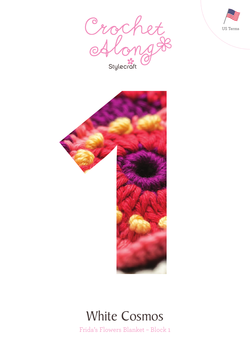





# White Cosmos

Frida's Flowers Blanket – Block 1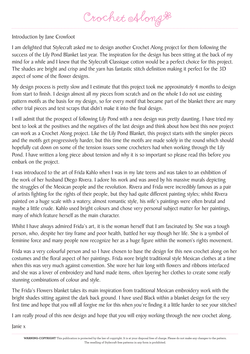Crochet Along &

## Introduction by Jane Crowfoot

I am delighted that Stylecraft asked me to design another Crochet Along project for them following the success of the Lily Pond Blanket last year. The inspiration for the design has been sitting at the back of my mind for a while and I knew that the Stylecraft Classique cotton would be a perfect choice for this project. The shades are bright and crisp and the yarn has fantastic stitch definition making it perfect for the 3D aspect of some of the flower designs.

My design process is pretty slow and I estimate that this project took me approximately 4 months to design from start to finish. I design almost all my pieces from scratch and on the whole I do not use existing pattern motifs as the basis for my design, so for every motif that became part of the blanket there are many other trial pieces and test scraps that didn't make it into the final design.

I will admit that the prospect of following Lily Pond with a new design was pretty daunting. I have tried my best to look at the positives and the negatives of the last design and think about how best this new project can work as a Crochet Along project. Like the Lily Pond Blanket, this project starts with the simpler pieces and the motifs get progressively harder, but this time the motifs are made solely in the round which should hopefully cut down on some of the tension issues some crocheters had when working through the Lily Pond. I have written a long piece about tension and why it is so important so please read this before you embark on the project.

I was introduced to the art of Frida Kahlo when I was in my late teens and was taken to an exhibition of the work of her husband Diego Rivera. I adore his work and was awed by his massive murals depicting the struggles of the Mexican people and the revolution. Rivera and Frida were incredibly famous as a pair of artists fighting for the rights of their people, but they had quite different painting styles; whilst Rivera painted on a huge scale with a watery, almost romantic style, his wife's paintings were often brutal and maybe a little crude. Kahlo used bright colours and chose very personal subject matter for her paintings, many of which feature herself as the main character.

Whilst I have always admired Frida's art, it is the woman herself that I am fascinated by. She was a tough person, who, despite her tiny frame and poor health, battled her way though her life. She is a symbol of feminine force and many people now recognize her as a huge figure within the women's rights movement.

Frida was a very colourful person and so I have chosen to base the design for this new crochet along on her costumes and the floral aspect of her paintings. Frida wore bright traditional style Mexican clothes at a time when this was very much against convention. She wore her hair long with flowers and ribbons interlaced and she was a lover of embroidery and hand made items, often layering her clothes to create some really stunning combinations of colour and style.

The Frida's Flowers blanket takes its main inspiration from traditional Mexican embroidery work with the bright shades sitting against the dark back ground. I have used Black within a blanket design for the very first time and hope that you will all forgive me for this when you're finding it a little harder to see your stitches!

I am really proud of this new design and hope that you will enjoy working through the new crochet along.

Janie x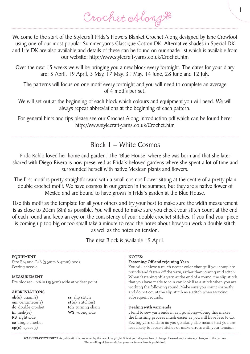1

Welcome to the start of the Stylecraft Frida's Flowers Blanket Crochet Along designed by Jane Crowfoot using one of our most popular Summer yarns Classique Cotton DK. Alternative shades in Special DK and Life DK are also available and details of these can be found on our shade list which is available from our website: http://www.stylecraft-yarns.co.uk/Crochet.htm

Over the next 15 weeks we will be bringing you a new block every fortnight. The dates for your diary are: 5 April, 19 April, 3 May, 17 May, 31 May, 14 June, 28 June and 12 July.

The patterns will focus on one motif every fortnight and you will need to complete an average of 4 motifs per set.

We will set out at the beginning of each block which colours and equipment you will need. We will always repeat abbreviations at the beginning of each pattern.

For general hints and tips please see our Crochet Along Introduction pdf which can be found here: http://www.stylecraft-yarns.co.uk/Crochet.htm

## Block 1 – White Cosmos

Frida Kahlo loved her home and garden. The 'Blue House' where she was born and that she later shared with Diego Rivera is now preserved as Frida's beloved gardens where she spent a lot of time and surrounded herself with native Mexican plants and flowers.

The first motif is pretty straightforward with a small cosmos flower sitting at the centre of a pretty plain double crochet motif. We have cosmos in our garden in the summer, but they are a native flower of Mexico and are bound to have grown in Frida's garden at the Blue House.

Use this motif as the template for all your others and try your best to make sure the width measurement is as close to 20cm (8in) as possible. You will need to make sure you check your stitch count at the end of each round and keep an eye on the consistency of your double crochet stitches. If you find your piece is coming up too big or too small take a minute to read the notes about how you work a double stitch as well as the notes on tension.

The next Block is available 19 April.

#### **EQUIPMENT** Size E/4 and G/6 (3.5mm & 4mm) hook Sewing needle **MEASUREMENT** Pre blocked – 7¾in (19.5cm) wide at widest point **ABBREVIATIONS ch(s)** chain(s) **cm** centimeter(s) **dc** double crochet **in** inch(es) **RS** right side **sc** single crochet **sp(s)** space(s) **ss** slip stitch **st(s)** stitch(es) **tch** turning chain **WS** wrong side **NOTES: Fastening Off and rejoining Yarn** You will achieve a much neater color change if you complete rounds and fasten off the yarn, rather than joining mid stitch. When fastening off a yarn at the end of a round, the slip stitch that you have made to join can look like a stitch when you are working the following round. Make sure you count correctly and do not count the slip stitch as a stitch when working subsequent rounds. **Dealing with yarn ends** I tend to sew yarn ends in as I go along—doing this makes the finishing process much easier as you will have less to do. Sewing yarn ends in as you go along also means that you are less likely to loose stitches or make errors with your tension.

**WARNING-COPYRIGHT** This publication is protected by the law of copyright. It is at your disposal free of charge. Please do not make any changes to the pattern. The reselling of Stylecraft free patterns in any form is prohibited.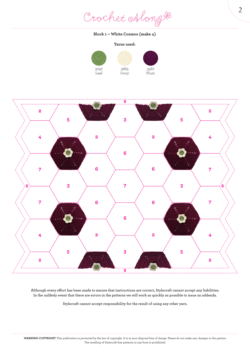Crochet Along #

#### **Block 1 – White Cosmos (make 4)**

### **Yarns used:**

 Ivory







**Although every effort has been made to ensure that instructions are correct, Stylecraft cannot accept any liabilities. In the unlikely event that there are errors in the patterns we will work as quickly as possible to issue an addenda.**

**Stylecraft cannot accept responsibility for the result of using any other yarn.**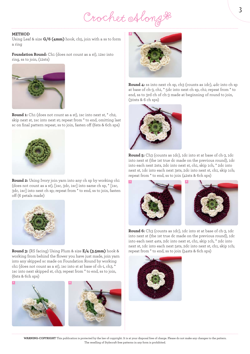Crochet Along \*

#### **METHOD**

Using Leaf & size **G/6 (4mm)** hook, ch5, join with a ss to form a ring

**Foundation Round:** Ch1 (does not count as a st), 12sc into ring, ss to join, (12sts)



**Round 1:** Ch1 (does not count as a st), 1sc into next st, \* ch2, skip next st, 1sc into next st; repeat from \* to end, omitting last sc on final pattern repeat, ss to join, fasten off (6sts & 6ch sps)



**Round 2:** Using Ivory join yarn into any ch sp by working ch1 (does not count as a st), [1sc, 3dc, 1sc] into same ch sp, \* [1sc, 3dc, 1sc] into next ch sp; repeat from \* to end, ss to join, fasten off (6 petals made)



**Round 3:** (RS facing) Using Plum & size **E/4 (3.5mm)** hook & working from behind the flower you have just made, join yarn into any skipped sc made on Foundation Round by working ch1 (does not count as a st), 1sc into st at base of ch-1, ch3, \* 1sc into next skipped st, ch3; repeat from \* to end, ss to join, (6sts & 6ch sps)





**Round 4:** ss into next ch sp, ch3 (counts as 1dc), 4dc into ch sp at base of ch-3, ch1, \* 5dc into next ch sp, ch1; repeat from \* to end, ss to 3rd ch of ch-3 made at beginning of round to join, (30sts & 6 ch sps)



**Round 5:** Ch3 (counts as 1dc), 1dc into st at base of ch-3, 1dc into next st (the 1st true dc made on the previous round), 1dc into each next 2sts, 2dc into next st, ch1, skip 1ch, \* 2dc into next st, 1dc into each next 3sts, 2dc into next st, ch1, skip 1ch; repeat from \* to end, ss to join (42sts & 6ch sps)



**Round 6:** Ch3 (counts as 1dc), 1dc into st at base of ch-3, 1dc into next st (the 1st true dc made on the previous round), 1dc into each next 4sts, 2dc into next st, ch1, skip 1ch, \* 2dc into next st, 1dc into each next 5sts, 2dc into next st, ch1, skip 1ch; repeat from \* to end, ss to join (54sts & 6ch sps)

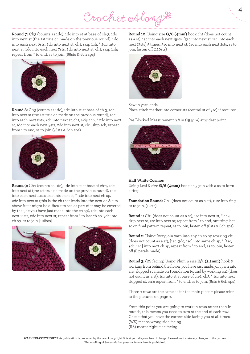Crochet Along &

**Round 7:** Ch3 (counts as 1dc), 1dc into st at base of ch-3, 1dc into next st (the 1st true dc made on the previous round), 1dc into each next 6sts, 2dc into next st, ch1, skip 1ch, \* 2dc into next st, 1dc into each next 7sts, 2dc into next st, ch1, skip 1ch; repeat from \* to end, ss to join (66sts & 6ch sps)



**Round 8:** Ch3 (counts as 1dc), 1dc into st at base of ch-3, 1dc into next st (the 1st true dc made on the previous round), 1dc into each next 8sts, 2dc into next st, ch1, skip 1ch, \* 2dc into next st, 1dc into each next 9sts, 2dc into next st, ch1, skip 1ch; repeat from \* to end, ss to join (78sts & 6ch sps)



**Round 9:** Ch3 (counts as 1dc), 1dc into st at base of ch-3, 1dc into next st (the 1st true dc made on the previous round), 1dc into each next 10sts, 2dc into next st, \* 3dc into next ch sp, 2dc into next st (this is the ch that leads into the next dc & sits above it—it might be difficult to see as part of it may be covered by the 3dc you have just made into the ch sp), 1dc into each next 11sts, 2dc into next st; repeat from \* to last ch sp, 3dc into ch sp, ss to join (108sts)



**Round 10:** Using size **G/6 (4mm)** hook ch1 (does not count as a st), 1sc into each next 15sts, [3sc into next st, 1sc into each next 17sts] 5 times, 3sc into next st, 1sc into each next 2sts, ss to join, fasten off (120sts)



Sew in yarn ends Place stitch marker into corner sts (central st of 3sc) if required

Pre Blocked Measurement: 7¾in (19.5cm) at widest point



#### **Half White Cosmos**

Using Leaf & size **G/6 (4mm)** hook ch5, join with a ss to form a ring

**Foundation Round:** Ch1 (does not count as a st), 12sc into ring, ss to join, (12sts)

**Round 1:** Ch1 (does not count as a st), 1sc into next st, \* ch2, skip next st, 1sc into next st; repeat from \* to end, omitting last sc on final pattern repeat, ss to join, fasten off (6sts & 6ch sps)

**Round 2:** Using Ivory join yarn into any ch sp by working ch1 (does not count as a st), [1sc, 3dc, 1sc] into same ch sp, \* [1sc, 3dc, 1sc] into next ch sp; repeat from \* to end, ss to join, fasten off (6 petals made)

**Round 3:** (RS facing) Using Plum & size **E/4 (3.5mm)** hook & working from behind the flower you have just made, join yarn into any skipped sc made on Foundation Round by working ch1 (does not count as a st), 1sc into st at base of ch-1, ch3, \* 1sc into next skipped st, ch3; repeat from \* to end, ss to join, (6sts & 6ch sps)

These 3 rows are the same as for the main piece – please refer to the pictures on page 3.

From this point you are going to work in rows rather than in rounds, this means you need to turn at the end of each row. Check that you have the correct side facing you at all times. (WS) means wrong side facing (RS) means right side facing